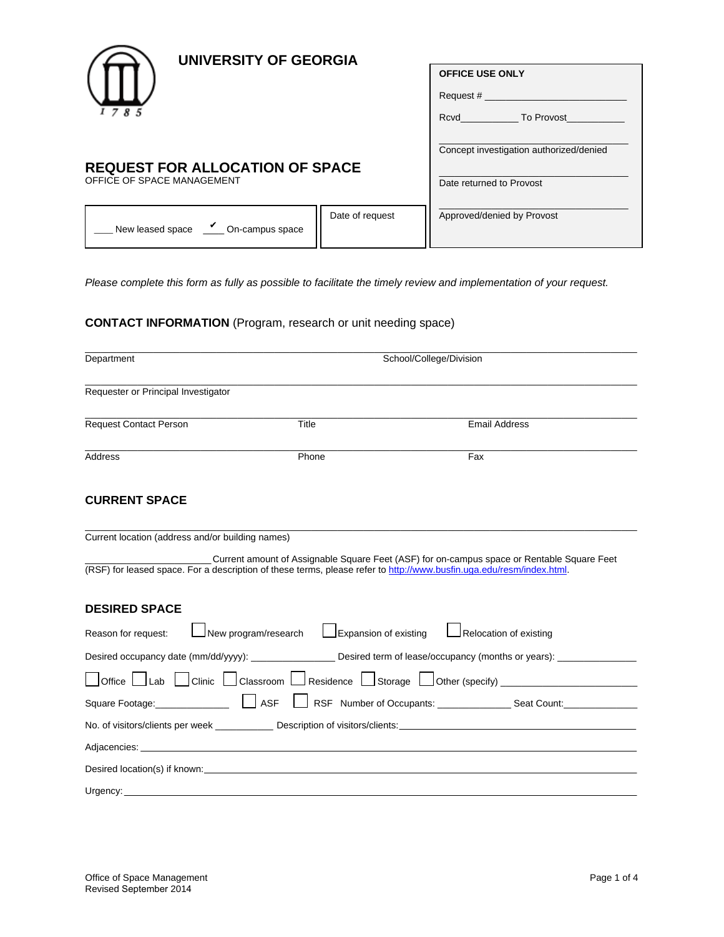

# **UNIVERSITY OF GEORGIA**

|                                                     |                 | <b>OFFICE USE ONLY</b><br>Request #<br>To Provost<br>Rcvd in the second second second second second second second second second second second second second second |
|-----------------------------------------------------|-----------------|--------------------------------------------------------------------------------------------------------------------------------------------------------------------|
| <b>REQUEST FOR ALLOCATION OF SPACE</b>              |                 | Concept investigation authorized/denied                                                                                                                            |
| OFFICE OF SPACE MANAGEMENT                          |                 | Date returned to Provost                                                                                                                                           |
| $\frac{V}{I}$ On-campus space<br>New leased space _ | Date of request | Approved/denied by Provost                                                                                                                                         |

*Please complete this form as fully as possible to facilitate the timely review and implementation of your request.* 

## **CONTACT INFORMATION** (Program, research or unit needing space)

| Department                                                                                                                                                                                                                    | School/College/Division                                            |                                                                                                                                                                                                                    |  |
|-------------------------------------------------------------------------------------------------------------------------------------------------------------------------------------------------------------------------------|--------------------------------------------------------------------|--------------------------------------------------------------------------------------------------------------------------------------------------------------------------------------------------------------------|--|
| Requester or Principal Investigator                                                                                                                                                                                           |                                                                    |                                                                                                                                                                                                                    |  |
| <b>Request Contact Person</b>                                                                                                                                                                                                 | Title                                                              | <b>Email Address</b>                                                                                                                                                                                               |  |
| Address                                                                                                                                                                                                                       | Phone                                                              | Fax                                                                                                                                                                                                                |  |
| <b>CURRENT SPACE</b>                                                                                                                                                                                                          |                                                                    |                                                                                                                                                                                                                    |  |
| Current location (address and/or building names)                                                                                                                                                                              |                                                                    |                                                                                                                                                                                                                    |  |
|                                                                                                                                                                                                                               |                                                                    | Current amount of Assignable Square Feet (ASF) for on-campus space or Rentable Square Feet<br>(RSF) for leased space. For a description of these terms, please refer to http://www.busfin.uga.edu/resm/index.html. |  |
| <b>DESIRED SPACE</b>                                                                                                                                                                                                          |                                                                    |                                                                                                                                                                                                                    |  |
| Reason for request:                                                                                                                                                                                                           | $\sqrt{\phantom{a}}$ New program/research<br>Expansion of existing | Relocation of existing                                                                                                                                                                                             |  |
|                                                                                                                                                                                                                               |                                                                    | Desired occupancy date (mm/dd/yyyy): ___________________ Desired term of lease/occupancy (months or years): ______________                                                                                         |  |
|                                                                                                                                                                                                                               |                                                                    | $\Box$ Office $\Box$ Lab $\Box$ Clinic $\Box$ Classroom $\Box$ Residence $\Box$ Storage $\Box$ Other (specify) _______________________                                                                             |  |
| Square Footage: Name   ASF                                                                                                                                                                                                    |                                                                    | RSF Number of Occupants: _______________________ Seat Count: ___________________                                                                                                                                   |  |
|                                                                                                                                                                                                                               |                                                                    |                                                                                                                                                                                                                    |  |
|                                                                                                                                                                                                                               |                                                                    |                                                                                                                                                                                                                    |  |
| Desired location(s) if known: the state of the state of the state of the state of the state of the state of the state of the state of the state of the state of the state of the state of the state of the state of the state |                                                                    |                                                                                                                                                                                                                    |  |
| Urgency:                                                                                                                                                                                                                      |                                                                    |                                                                                                                                                                                                                    |  |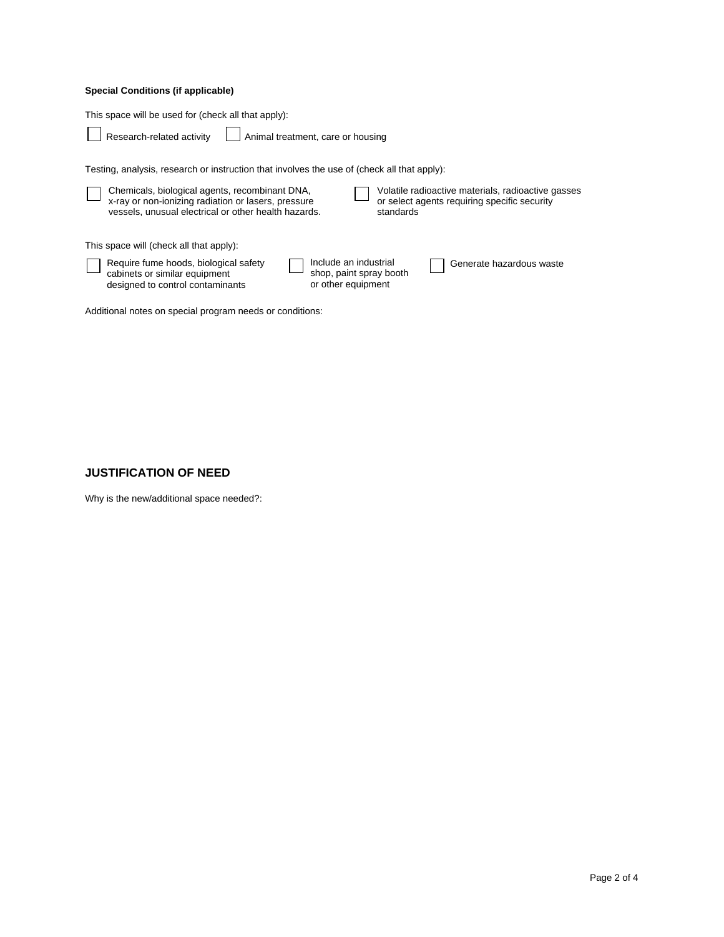## **Special Conditions (if applicable)**

This space will be used for (check all that apply):

Research-related activity Animal treatment, care or housing

Testing, analysis, research or instruction that involves the use of (check all that apply):

| Chemicals, biological agents, recombinant DNA,<br>x-ray or non-ionizing radiation or lasers, pressure<br>vessels, unusual electrical or other health hazards. |                                                                        | standards | Volatile radioactive materials, radioactive gasses<br>or select agents requiring specific security |
|---------------------------------------------------------------------------------------------------------------------------------------------------------------|------------------------------------------------------------------------|-----------|----------------------------------------------------------------------------------------------------|
| This space will (check all that apply):                                                                                                                       |                                                                        |           |                                                                                                    |
| Require fume hoods, biological safety<br>cabinets or similar equipment<br>designed to control contaminants                                                    | Include an industrial<br>shop, paint spray booth<br>or other equipment |           | Generate hazardous waste                                                                           |
| Additional notes on special program needs or conditions:                                                                                                      |                                                                        |           |                                                                                                    |

### **JUSTIFICATION OF NEED**

Why is the new/additional space needed?: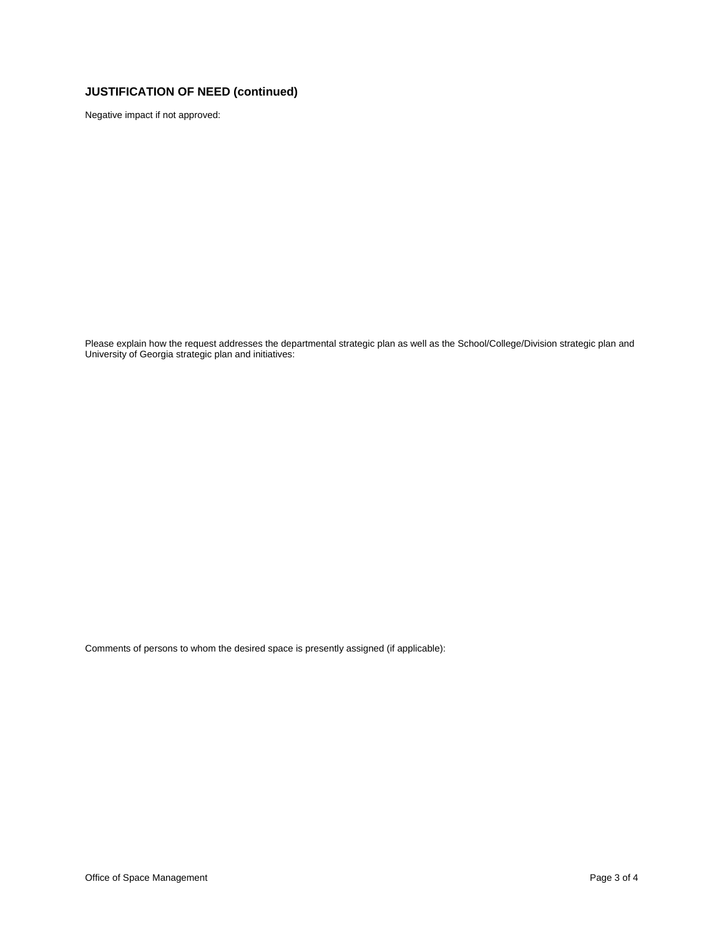# **JUSTIFICATION OF NEED (continued)**

Negative impact if not approved:

Please explain how the request addresses the departmental strategic plan as well as the School/College/Division strategic plan and University of Georgia strategic plan and initiatives:

Comments of persons to whom the desired space is presently assigned (if applicable):